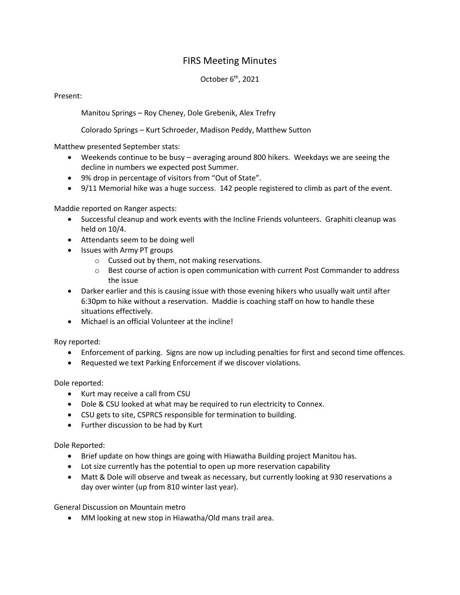## FIRS Meeting Minutes

## October 6<sup>th</sup>, 2021

## Present:

Manitou Springs – Roy Cheney, Dole Grebenik, Alex Trefry

Colorado Springs – Kurt Schroeder, Madison Peddy, Matthew Sutton

Matthew presented September stats:

- Weekends continue to be busy averaging around 800 hikers. Weekdays we are seeing the decline in numbers we expected post Summer.
- 9% drop in percentage of visitors from "Out of State".
- 9/11 Memorial hike was a huge success. 142 people registered to climb as part of the event.

Maddie reported on Ranger aspects:

- Successful cleanup and work events with the Incline Friends volunteers. Graphiti cleanup was held on 10/4.
- Attendants seem to be doing well
- Issues with Army PT groups
	- o Cussed out by them, not making reservations.
	- $\circ$  Best course of action is open communication with current Post Commander to address the issue
- Darker earlier and this is causing issue with those evening hikers who usually wait until after 6:30pm to hike without a reservation. Maddie is coaching staff on how to handle these situations effectively.
- Michael is an official Volunteer at the incline!

Roy reported:

- Enforcement of parking. Signs are now up including penalties for first and second time offences.
- Requested we text Parking Enforcement if we discover violations.

Dole reported:

- Kurt may receive a call from CSU
- Dole & CSU looked at what may be required to run electricity to Connex.
- CSU gets to site, CSPRCS responsible for termination to building.
- Further discussion to be had by Kurt

Dole Reported:

- Brief update on how things are going with Hiawatha Building project Manitou has.
- Lot size currently has the potential to open up more reservation capability
- Matt & Dole will observe and tweak as necessary, but currently looking at 930 reservations a day over winter (up from 810 winter last year).

General Discussion on Mountain metro

• MM looking at new stop in Hiawatha/Old mans trail area.